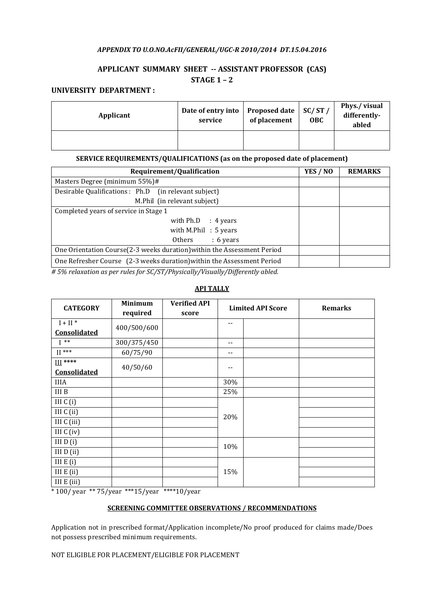# APPENDIX TO U.O.NO.AcFII/GENERAL/UGC-R 2010/2014 DT.15.04.2016

# APPLICANT SUMMARY SHEET -- ASSISTANT PROFESSOR (CAS) STAGE 1 – 2

# UNIVERSITY DEPARTMENT :

| Applicant | Date of entry into<br>service | <b>Proposed date</b><br>of placement | SC/ST/<br><b>OBC</b> | Phys./visual<br>differently-<br>abled |
|-----------|-------------------------------|--------------------------------------|----------------------|---------------------------------------|
|           |                               |                                      |                      |                                       |

## SERVICE REQUIREMENTS/QUALIFICATIONS (as on the proposed date of placement)

| Requirement/Qualification                                               | YES / NO | <b>REMARKS</b> |
|-------------------------------------------------------------------------|----------|----------------|
| Masters Degree (minimum 55%)#                                           |          |                |
| Desirable Qualifications : Ph.D (in relevant subject)                   |          |                |
| M.Phil (in relevant subject)                                            |          |                |
| Completed years of service in Stage 1                                   |          |                |
| with $Ph.D$ : 4 years                                                   |          |                |
| with M.Phil $: 5$ years                                                 |          |                |
| $: 6 \text{ years}$<br>Others                                           |          |                |
| One Orientation Course(2-3 weeks duration) within the Assessment Period |          |                |
| One Refresher Course (2-3 weeks duration) within the Assessment Period  |          |                |

 $# 5\%$  relaxation as per rules for SC/ST/Physically/Visually/Differently abled.

# API TALLY

| <b>CATEGORY</b> | <b>Minimum</b><br>required | <b>Verified API</b><br>score |     | <b>Limited API Score</b> | <b>Remarks</b> |
|-----------------|----------------------------|------------------------------|-----|--------------------------|----------------|
| $I + II$ *      |                            |                              | --  |                          |                |
| Consolidated    | 400/500/600                |                              |     |                          |                |
| $I^{**}$        | 300/375/450                |                              | $-$ |                          |                |
| $II$ ***        | 60/75/90                   |                              | --  |                          |                |
| $III$ ****      |                            |                              |     |                          |                |
| Consolidated    | 40/50/60                   |                              | --  |                          |                |
| <b>IIIA</b>     |                            |                              | 30% |                          |                |
| III B           |                            |                              | 25% |                          |                |
| III $C(i)$      |                            |                              |     |                          |                |
| III $C$ (ii)    |                            |                              | 20% |                          |                |
| III C (iii)     |                            |                              |     |                          |                |
| III $C$ (iv)    |                            |                              |     |                          |                |
| III $D(i)$      |                            |                              | 10% |                          |                |
| III $D$ (ii)    |                            |                              |     |                          |                |
| III $E(i)$      |                            |                              |     |                          |                |
| III $E$ (ii)    |                            |                              | 15% |                          |                |
| III $E$ (iii)   |                            |                              |     |                          |                |

\* 100/ year \*\* 75/year \*\*\*15/year \*\*\*\*10/year

## SCREENING COMMITTEE OBSERVATIONS / RECOMMENDATIONS

Application not in prescribed format/Application incomplete/No proof produced for claims made/Does not possess prescribed minimum requirements.

NOT ELIGIBLE FOR PLACEMENT/ELIGIBLE FOR PLACEMENT